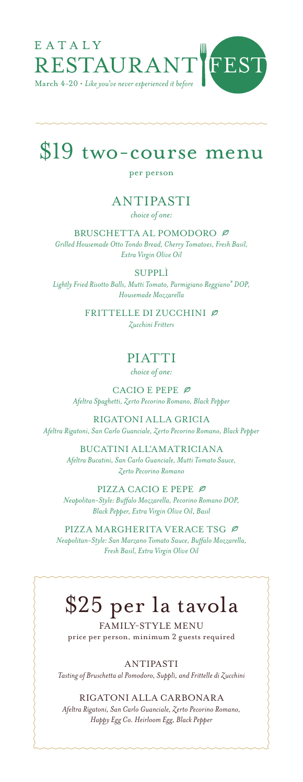

# \$19 two-course menu

### per person

### ANTIPASTI *choice of one:*

BRUSCHETTA AL POMODORO Ø *Grilled Housemade Otto Tondo Bread, Cherry Tomatoes, Fresh Basil, Extra Virgin Olive Oil*

#### SUPPLÌ

*Lightly Fried Risotto Balls, Mutti Tomato, Parmigiano Reggiano® DOP, Housemade Mozzarella*

> FRITTELLE DI ZUCCHINI Ø *Zucchini Fritters*

## PIATTI

*choice of one:* 

CACIO E PEPE $\varnothing$ *Afeltra Spaghetti, Zerto Pecorino Romano, Black Pepper*

RIGATONI ALLA GRICIA *Afeltra Rigatoni, San Carlo Guanciale, Zerto Pecorino Romano, Black Pepper*

> BUCATINI ALL'AMATRICIANA *Afeltra Bucatini, San Carlo Guanciale, Mutti Tomato Sauce, Zerto Pecorino Romano*

PIZZA CACIO E PEPE $\varnothing$ *Neapolitan-Style: Buffalo Mozzarella, Pecorino Romano DOP, Black Pepper, Extra Virgin Olive Oil, Basil* 

PIZZA MARGHERITA VERACE TSG *Neapolitan-Style: San Marzano Tomato Sauce, Buffalo Mozzarella, Fresh Basil, Extra Virgin Olive Oil*

# \$25 per la tavola

FAMILY-STYLE MENU price per person, minimum 2 guests required

ANTIPASTI

*Tasting of Bruschetta al Pomodoro, Supplì, and Frittelle di Zucchini*

RIGATONI ALLA CARBONARA

*Afeltra Rigatoni, San Carlo Guanciale, Zerto Pecorino Romano, Happy Egg Co. Heirloom Egg, Black Pepper*